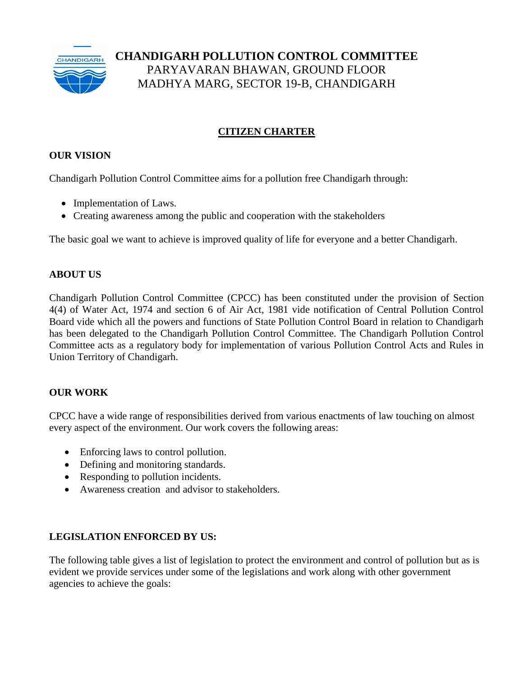

# **CHANDIGARH POLLUTION CONTROL COMMITTEE** PARYAVARAN BHAWAN, GROUND FLOOR MADHYA MARG, SECTOR 19-B, CHANDIGARH

# **CITIZEN CHARTER**

## **OUR VISION**

Chandigarh Pollution Control Committee aims for a pollution free Chandigarh through:

- Implementation of Laws.
- Creating awareness among the public and cooperation with the stakeholders

The basic goal we want to achieve is improved quality of life for everyone and a better Chandigarh.

#### **ABOUT US**

Chandigarh Pollution Control Committee (CPCC) has been constituted under the provision of Section 4(4) of Water Act, 1974 and section 6 of Air Act, 1981 vide notification of Central Pollution Control Board vide which all the powers and functions of State Pollution Control Board in relation to Chandigarh has been delegated to the Chandigarh Pollution Control Committee. The Chandigarh Pollution Control Committee acts as a regulatory body for implementation of various Pollution Control Acts and Rules in Union Territory of Chandigarh.

#### **OUR WORK**

CPCC have a wide range of responsibilities derived from various enactments of law touching on almost every aspect of the environment. Our work covers the following areas:

- Enforcing laws to control pollution.
- Defining and monitoring standards.
- Responding to pollution incidents.
- Awareness creation and advisor to stakeholders.

#### **LEGISLATION ENFORCED BY US:**

The following table gives a list of legislation to protect the environment and control of pollution but as is evident we provide services under some of the legislations and work along with other government agencies to achieve the goals: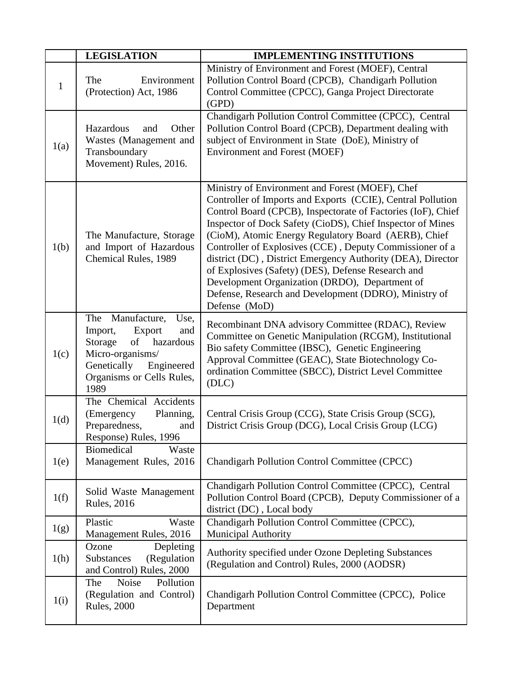|              | <b>LEGISLATION</b>                                                                                                                                                          | <b>IMPLEMENTING INSTITUTIONS</b>                                                                                                                                                                                                                                                                                                                                                                                                                                                                                                                                                                                  |
|--------------|-----------------------------------------------------------------------------------------------------------------------------------------------------------------------------|-------------------------------------------------------------------------------------------------------------------------------------------------------------------------------------------------------------------------------------------------------------------------------------------------------------------------------------------------------------------------------------------------------------------------------------------------------------------------------------------------------------------------------------------------------------------------------------------------------------------|
| $\mathbf{1}$ | Environment<br>The<br>(Protection) Act, 1986                                                                                                                                | Ministry of Environment and Forest (MOEF), Central<br>Pollution Control Board (CPCB), Chandigarh Pollution<br>Control Committee (CPCC), Ganga Project Directorate<br>(GPD)                                                                                                                                                                                                                                                                                                                                                                                                                                        |
| 1(a)         | Hazardous<br>Other<br>and<br>Wastes (Management and<br>Transboundary<br>Movement) Rules, 2016.                                                                              | Chandigarh Pollution Control Committee (CPCC), Central<br>Pollution Control Board (CPCB), Department dealing with<br>subject of Environment in State (DoE), Ministry of<br><b>Environment and Forest (MOEF)</b>                                                                                                                                                                                                                                                                                                                                                                                                   |
| 1(b)         | The Manufacture, Storage<br>and Import of Hazardous<br>Chemical Rules, 1989                                                                                                 | Ministry of Environment and Forest (MOEF), Chef<br>Controller of Imports and Exports (CCIE), Central Pollution<br>Control Board (CPCB), Inspectorate of Factories (IoF), Chief<br>Inspector of Dock Safety (CioDS), Chief Inspector of Mines<br>(CioM), Atomic Energy Regulatory Board (AERB), Chief<br>Controller of Explosives (CCE), Deputy Commissioner of a<br>district (DC), District Emergency Authority (DEA), Director<br>of Explosives (Safety) (DES), Defense Research and<br>Development Organization (DRDO), Department of<br>Defense, Research and Development (DDRO), Ministry of<br>Defense (MoD) |
| 1(c)         | Manufacture,<br>The<br>Use,<br>Import,<br>Export<br>and<br>Storage<br>of<br>hazardous<br>Micro-organisms/<br>Genetically<br>Engineered<br>Organisms or Cells Rules,<br>1989 | Recombinant DNA advisory Committee (RDAC), Review<br>Committee on Genetic Manipulation (RCGM), Institutional<br>Bio safety Committee (IBSC), Genetic Engineering<br>Approval Committee (GEAC), State Biotechnology Co-<br>ordination Committee (SBCC), District Level Committee<br>(DLC)                                                                                                                                                                                                                                                                                                                          |
| 1(d)         | The Chemical Accidents<br>(Emergency<br>Planning,<br>Preparedness,<br>and<br>Response) Rules, 1996                                                                          | Central Crisis Group (CCG), State Crisis Group (SCG),<br>District Crisis Group (DCG), Local Crisis Group (LCG)                                                                                                                                                                                                                                                                                                                                                                                                                                                                                                    |
| 1(e)         | <b>Biomedical</b><br>Waste<br>Management Rules, 2016                                                                                                                        | Chandigarh Pollution Control Committee (CPCC)                                                                                                                                                                                                                                                                                                                                                                                                                                                                                                                                                                     |
| 1(f)         | Solid Waste Management<br><b>Rules</b> , 2016                                                                                                                               | Chandigarh Pollution Control Committee (CPCC), Central<br>Pollution Control Board (CPCB), Deputy Commissioner of a<br>district (DC), Local body                                                                                                                                                                                                                                                                                                                                                                                                                                                                   |
| 1(g)         | Plastic<br>Waste<br>Management Rules, 2016                                                                                                                                  | Chandigarh Pollution Control Committee (CPCC),<br><b>Municipal Authority</b>                                                                                                                                                                                                                                                                                                                                                                                                                                                                                                                                      |
| 1(h)         | Ozone<br>Depleting<br>(Regulation<br>Substances<br>and Control) Rules, 2000                                                                                                 | Authority specified under Ozone Depleting Substances<br>(Regulation and Control) Rules, 2000 (AODSR)                                                                                                                                                                                                                                                                                                                                                                                                                                                                                                              |
| 1(i)         | Pollution<br><b>Noise</b><br>The<br>(Regulation and Control)<br><b>Rules</b> , 2000                                                                                         | Chandigarh Pollution Control Committee (CPCC), Police<br>Department                                                                                                                                                                                                                                                                                                                                                                                                                                                                                                                                               |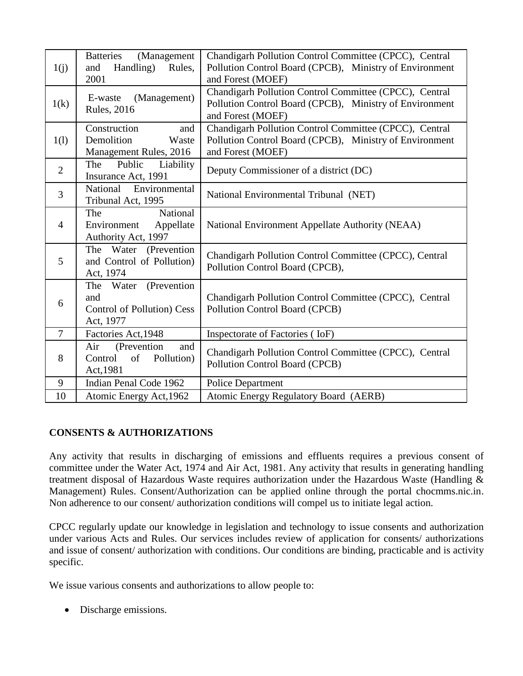| 1(j)           | <b>Batteries</b><br>(Management<br>Handling)<br>and<br>Rules,                     | Chandigarh Pollution Control Committee (CPCC), Central<br>Pollution Control Board (CPCB), Ministry of Environment                      |
|----------------|-----------------------------------------------------------------------------------|----------------------------------------------------------------------------------------------------------------------------------------|
|                | 2001                                                                              | and Forest (MOEF)                                                                                                                      |
| 1(k)           | (Management)<br>E-waste<br><b>Rules</b> , 2016                                    | Chandigarh Pollution Control Committee (CPCC), Central<br>Pollution Control Board (CPCB), Ministry of Environment<br>and Forest (MOEF) |
| 1(l)           | Construction<br>and<br>Demolition<br>Waste<br>Management Rules, 2016              | Chandigarh Pollution Control Committee (CPCC), Central<br>Pollution Control Board (CPCB), Ministry of Environment<br>and Forest (MOEF) |
| $\overline{2}$ | Public Liability<br>The<br>Insurance Act, 1991                                    | Deputy Commissioner of a district (DC)                                                                                                 |
| $\overline{3}$ | National Environmental<br>Tribunal Act, 1995                                      | National Environmental Tribunal (NET)                                                                                                  |
| $\overline{4}$ | National<br>The<br>Environment<br>Appellate<br>Authority Act, 1997                | National Environment Appellate Authority (NEAA)                                                                                        |
| 5              | The Water (Prevention<br>and Control of Pollution)<br>Act, 1974                   | Chandigarh Pollution Control Committee (CPCC), Central<br>Pollution Control Board (CPCB),                                              |
| 6              | (Prevention<br>The Water<br>and<br><b>Control of Pollution) Cess</b><br>Act, 1977 | Chandigarh Pollution Control Committee (CPCC), Central<br>Pollution Control Board (CPCB)                                               |
| $\overline{7}$ | Factories Act, 1948                                                               | Inspectorate of Factories (IoF)                                                                                                        |
| 8              | (Prevention<br>Air<br>and<br>Control<br>of<br>Pollution)<br>Act, 1981             | Chandigarh Pollution Control Committee (CPCC), Central<br>Pollution Control Board (CPCB)                                               |
| 9              | Indian Penal Code 1962                                                            | <b>Police Department</b>                                                                                                               |
| 10             | Atomic Energy Act, 1962                                                           | <b>Atomic Energy Regulatory Board (AERB)</b>                                                                                           |

# **CONSENTS & AUTHORIZATIONS**

Any activity that results in discharging of emissions and effluents requires a previous consent of committee under the Water Act, 1974 and Air Act, 1981. Any activity that results in generating handling treatment disposal of Hazardous Waste requires authorization under the Hazardous Waste (Handling & Management) Rules. Consent/Authorization can be applied online through the portal chocmms.nic.in. Non adherence to our consent/ authorization conditions will compel us to initiate legal action.

CPCC regularly update our knowledge in legislation and technology to issue consents and authorization under various Acts and Rules. Our services includes review of application for consents/ authorizations and issue of consent/ authorization with conditions. Our conditions are binding, practicable and is activity specific.

We issue various consents and authorizations to allow people to:

• Discharge emissions.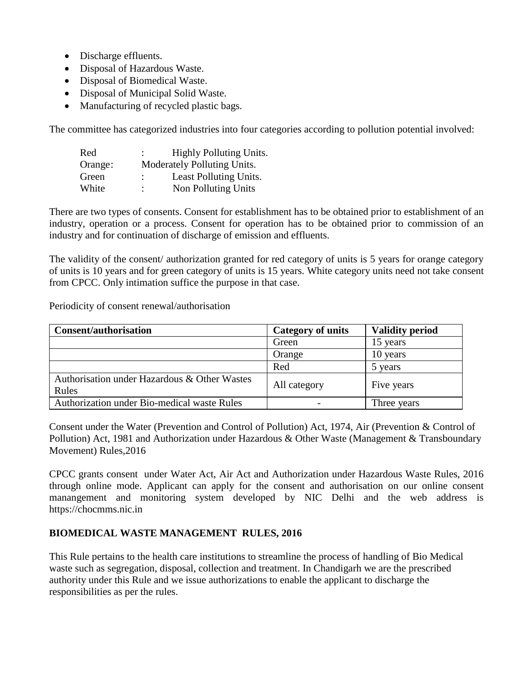- Discharge effluents.
- Disposal of Hazardous Waste.
- Disposal of Biomedical Waste.
- Disposal of Municipal Solid Waste.
- Manufacturing of recycled plastic bags.

The committee has categorized industries into four categories according to pollution potential involved:

| Red     | ٠                           | <b>Highly Polluting Units.</b> |
|---------|-----------------------------|--------------------------------|
| Orange: | Moderately Polluting Units. |                                |
| Green   | $\ddot{\phantom{0}}$        | Least Polluting Units.         |
| White   | $\ddot{\cdot}$              | Non Polluting Units            |

There are two types of consents. Consent for establishment has to be obtained prior to establishment of an industry, operation or a process. Consent for operation has to be obtained prior to commission of an industry and for continuation of discharge of emission and effluents.

The validity of the consent/ authorization granted for red category of units is 5 years for orange category of units is 10 years and for green category of units is 15 years. White category units need not take consent from CPCC. Only intimation suffice the purpose in that case.

Periodicity of consent renewal/authorisation

| <b>Consent/authorisation</b>                 | Category of units | <b>Validity period</b> |
|----------------------------------------------|-------------------|------------------------|
|                                              | Green             | 15 years               |
|                                              | Orange            | 10 years               |
|                                              | Red               | 5 years                |
| Authorisation under Hazardous & Other Wastes |                   |                        |
| Rules                                        | All category      | Five years             |
| Authorization under Bio-medical waste Rules  |                   | Three years            |

Consent under the Water (Prevention and Control of Pollution) Act, 1974, Air (Prevention & Control of Pollution) Act, 1981 and Authorization under Hazardous & Other Waste (Management & Transboundary Movement) Rules,2016

CPCC grants consent under Water Act, Air Act and Authorization under Hazardous Waste Rules, 2016 through online mode. Applicant can apply for the consent and authorisation on our online consent manangement and monitoring system developed by NIC Delhi and the web address is https://chocmms.nic.in

#### **BIOMEDICAL WASTE MANAGEMENT RULES, 2016**

This Rule pertains to the health care institutions to streamline the process of handling of Bio Medical waste such as segregation, disposal, collection and treatment. In Chandigarh we are the prescribed authority under this Rule and we issue authorizations to enable the applicant to discharge the responsibilities as per the rules.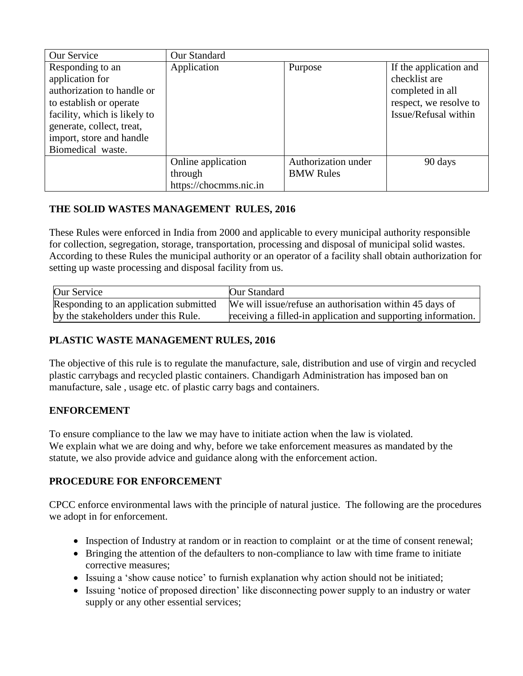| Our Service                                                                                                                                                                                                | Our Standard                                            |                                         |                                                                                                               |
|------------------------------------------------------------------------------------------------------------------------------------------------------------------------------------------------------------|---------------------------------------------------------|-----------------------------------------|---------------------------------------------------------------------------------------------------------------|
| Responding to an<br>application for<br>authorization to handle or<br>to establish or operate<br>facility, which is likely to<br>generate, collect, treat,<br>import, store and handle<br>Biomedical waste. | Application                                             | Purpose                                 | If the application and<br>checklist are<br>completed in all<br>respect, we resolve to<br>Issue/Refusal within |
|                                                                                                                                                                                                            | Online application<br>through<br>https://chocmms.nic.in | Authorization under<br><b>BMW Rules</b> | 90 days                                                                                                       |

# **THE SOLID WASTES MANAGEMENT RULES, 2016**

These Rules were enforced in India from 2000 and applicable to every municipal authority responsible for collection, segregation, storage, transportation, processing and disposal of municipal solid wastes. According to these Rules the municipal authority or an operator of a facility shall obtain authorization for setting up waste processing and disposal facility from us.

| Our Service                            | Our Standard                                                  |
|----------------------------------------|---------------------------------------------------------------|
| Responding to an application submitted | We will issue/refuse an authorisation within 45 days of       |
| by the stakeholders under this Rule.   | receiving a filled-in application and supporting information. |

# **PLASTIC WASTE MANAGEMENT RULES, 2016**

The objective of this rule is to regulate the manufacture, sale, distribution and use of virgin and recycled plastic carrybags and recycled plastic containers. Chandigarh Administration has imposed ban on manufacture, sale , usage etc. of plastic carry bags and containers.

# **ENFORCEMENT**

To ensure compliance to the law we may have to initiate action when the law is violated. We explain what we are doing and why, before we take enforcement measures as mandated by the statute, we also provide advice and guidance along with the enforcement action.

# **PROCEDURE FOR ENFORCEMENT**

CPCC enforce environmental laws with the principle of natural justice. The following are the procedures we adopt in for enforcement.

- Inspection of Industry at random or in reaction to complaint or at the time of consent renewal;
- Bringing the attention of the defaulters to non-compliance to law with time frame to initiate corrective measures;
- Issuing a 'show cause notice' to furnish explanation why action should not be initiated;
- Issuing 'notice of proposed direction' like disconnecting power supply to an industry or water supply or any other essential services;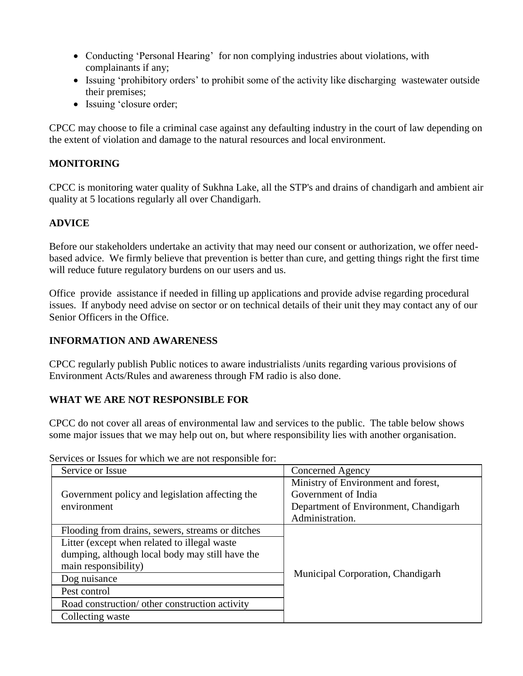- Conducting 'Personal Hearing' for non complying industries about violations, with complainants if any;
- Issuing 'prohibitory orders' to prohibit some of the activity like discharging wastewater outside their premises;
- Issuing 'closure order;

CPCC may choose to file a criminal case against any defaulting industry in the court of law depending on the extent of violation and damage to the natural resources and local environment.

### **MONITORING**

CPCC is monitoring water quality of Sukhna Lake, all the STP's and drains of chandigarh and ambient air quality at 5 locations regularly all over Chandigarh.

## **ADVICE**

Before our stakeholders undertake an activity that may need our consent or authorization, we offer needbased advice. We firmly believe that prevention is better than cure, and getting things right the first time will reduce future regulatory burdens on our users and us.

Office provide assistance if needed in filling up applications and provide advise regarding procedural issues. If anybody need advise on sector or on technical details of their unit they may contact any of our Senior Officers in the Office.

#### **INFORMATION AND AWARENESS**

CPCC regularly publish Public notices to aware industrialists /units regarding various provisions of Environment Acts/Rules and awareness through FM radio is also done.

#### **WHAT WE ARE NOT RESPONSIBLE FOR**

CPCC do not cover all areas of environmental law and services to the public. The table below shows some major issues that we may help out on, but where responsibility lies with another organisation.

| Service or Issue                                 | Concerned Agency                      |  |
|--------------------------------------------------|---------------------------------------|--|
|                                                  | Ministry of Environment and forest,   |  |
| Government policy and legislation affecting the  | Government of India                   |  |
| environment                                      | Department of Environment, Chandigarh |  |
|                                                  | Administration.                       |  |
| Flooding from drains, sewers, streams or ditches |                                       |  |
| Litter (except when related to illegal waste     |                                       |  |
| dumping, although local body may still have the  |                                       |  |
| main responsibility)                             |                                       |  |
| Dog nuisance                                     | Municipal Corporation, Chandigarh     |  |
| Pest control                                     |                                       |  |
| Road construction/ other construction activity   |                                       |  |
| Collecting waste                                 |                                       |  |

Services or Issues for which we are not responsible for: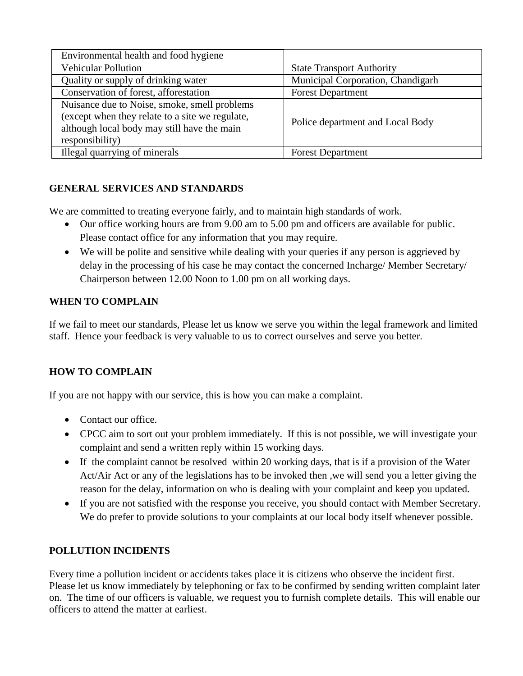| Environmental health and food hygiene                                                                                                                             |                                   |
|-------------------------------------------------------------------------------------------------------------------------------------------------------------------|-----------------------------------|
| <b>Vehicular Pollution</b>                                                                                                                                        | <b>State Transport Authority</b>  |
| Quality or supply of drinking water                                                                                                                               | Municipal Corporation, Chandigarh |
| Conservation of forest, afforestation                                                                                                                             | <b>Forest Department</b>          |
| Nuisance due to Noise, smoke, smell problems<br>(except when they relate to a site we regulate,<br>although local body may still have the main<br>responsibility) | Police department and Local Body  |
| Illegal quarrying of minerals                                                                                                                                     | <b>Forest Department</b>          |

## **GENERAL SERVICES AND STANDARDS**

We are committed to treating everyone fairly, and to maintain high standards of work.

- Our office working hours are from 9.00 am to 5.00 pm and officers are available for public. Please contact office for any information that you may require.
- We will be polite and sensitive while dealing with your queries if any person is aggrieved by delay in the processing of his case he may contact the concerned Incharge/ Member Secretary/ Chairperson between 12.00 Noon to 1.00 pm on all working days.

#### **WHEN TO COMPLAIN**

If we fail to meet our standards, Please let us know we serve you within the legal framework and limited staff. Hence your feedback is very valuable to us to correct ourselves and serve you better.

#### **HOW TO COMPLAIN**

If you are not happy with our service, this is how you can make a complaint.

- Contact our office.
- CPCC aim to sort out your problem immediately. If this is not possible, we will investigate your complaint and send a written reply within 15 working days.
- If the complaint cannot be resolved within 20 working days, that is if a provision of the Water Act/Air Act or any of the legislations has to be invoked then ,we will send you a letter giving the reason for the delay, information on who is dealing with your complaint and keep you updated.
- If you are not satisfied with the response you receive, you should contact with Member Secretary. We do prefer to provide solutions to your complaints at our local body itself whenever possible.

#### **POLLUTION INCIDENTS**

Every time a pollution incident or accidents takes place it is citizens who observe the incident first. Please let us know immediately by telephoning or fax to be confirmed by sending written complaint later on. The time of our officers is valuable, we request you to furnish complete details. This will enable our officers to attend the matter at earliest.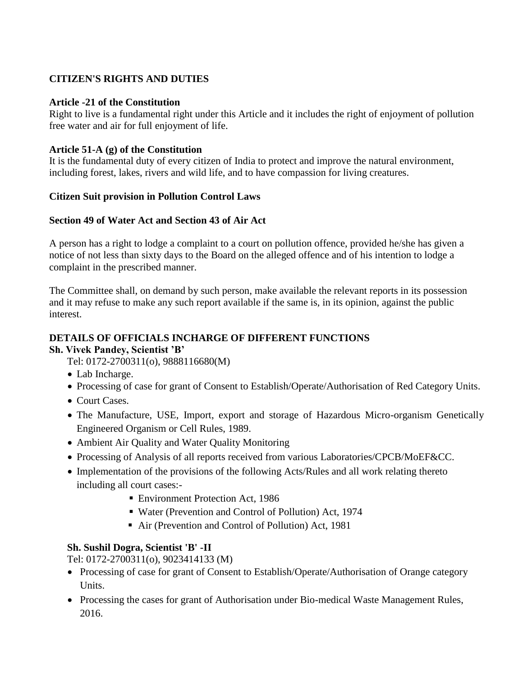## **CITIZEN'S RIGHTS AND DUTIES**

#### **Article -21 of the Constitution**

Right to live is a fundamental right under this Article and it includes the right of enjoyment of pollution free water and air for full enjoyment of life.

#### **Article 51-A (g) of the Constitution**

It is the fundamental duty of every citizen of India to protect and improve the natural environment, including forest, lakes, rivers and wild life, and to have compassion for living creatures.

#### **Citizen Suit provision in Pollution Control Laws**

#### **Section 49 of Water Act and Section 43 of Air Act**

A person has a right to lodge a complaint to a court on pollution offence, provided he/she has given a notice of not less than sixty days to the Board on the alleged offence and of his intention to lodge a complaint in the prescribed manner.

The Committee shall, on demand by such person, make available the relevant reports in its possession and it may refuse to make any such report available if the same is, in its opinion, against the public interest.

# **DETAILS OF OFFICIALS INCHARGE OF DIFFERENT FUNCTIONS**

**Sh. Vivek Pandey, Scientist 'B'**

Tel: 0172-2700311(o), 9888116680(M)

- Lab Incharge.
- Processing of case for grant of Consent to Establish/Operate/Authorisation of Red Category Units.
- Court Cases.
- The Manufacture, USE, Import, export and storage of Hazardous Micro-organism Genetically Engineered Organism or Cell Rules, 1989.
- Ambient Air Quality and Water Quality Monitoring
- Processing of Analysis of all reports received from various Laboratories/CPCB/MoEF&CC.
- Implementation of the provisions of the following Acts/Rules and all work relating thereto including all court cases:-
	- Environment Protection Act, 1986
	- Water (Prevention and Control of Pollution) Act, 1974
	- Air (Prevention and Control of Pollution) Act, 1981

#### **Sh. Sushil Dogra, Scientist 'B' -II**

Tel: 0172-2700311(o), 9023414133 (M)

- Processing of case for grant of Consent to Establish/Operate/Authorisation of Orange category Units.
- Processing the cases for grant of Authorisation under Bio-medical Waste Management Rules, 2016.